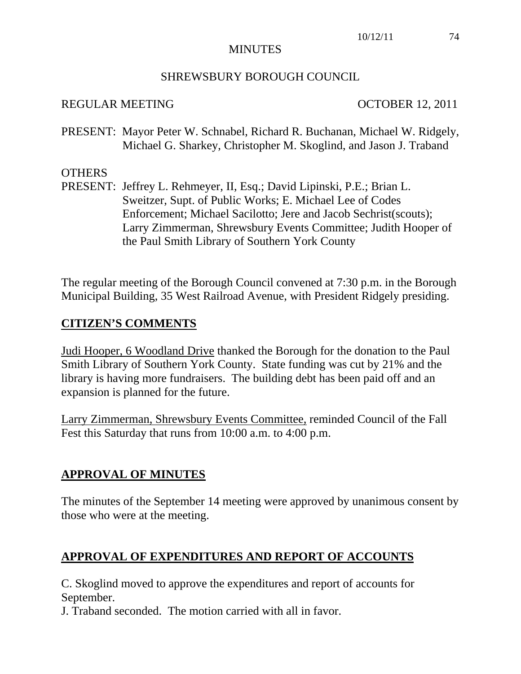#### **MINUTES**

#### SHREWSBURY BOROUGH COUNCIL

#### REGULAR MEETING OCTOBER 12, 2011

PRESENT: Mayor Peter W. Schnabel, Richard R. Buchanan, Michael W. Ridgely, Michael G. Sharkey, Christopher M. Skoglind, and Jason J. Traband

#### OTHERS

PRESENT: Jeffrey L. Rehmeyer, II, Esq.; David Lipinski, P.E.; Brian L. Sweitzer, Supt. of Public Works; E. Michael Lee of Codes Enforcement; Michael Sacilotto; Jere and Jacob Sechrist(scouts); Larry Zimmerman, Shrewsbury Events Committee; Judith Hooper of the Paul Smith Library of Southern York County

The regular meeting of the Borough Council convened at 7:30 p.m. in the Borough Municipal Building, 35 West Railroad Avenue, with President Ridgely presiding.

#### **CITIZEN'S COMMENTS**

Judi Hooper, 6 Woodland Drive thanked the Borough for the donation to the Paul Smith Library of Southern York County. State funding was cut by 21% and the library is having more fundraisers. The building debt has been paid off and an expansion is planned for the future.

Larry Zimmerman, Shrewsbury Events Committee, reminded Council of the Fall Fest this Saturday that runs from 10:00 a.m. to 4:00 p.m.

#### **APPROVAL OF MINUTES**

The minutes of the September 14 meeting were approved by unanimous consent by those who were at the meeting.

### **APPROVAL OF EXPENDITURES AND REPORT OF ACCOUNTS**

C. Skoglind moved to approve the expenditures and report of accounts for September.

J. Traband seconded. The motion carried with all in favor.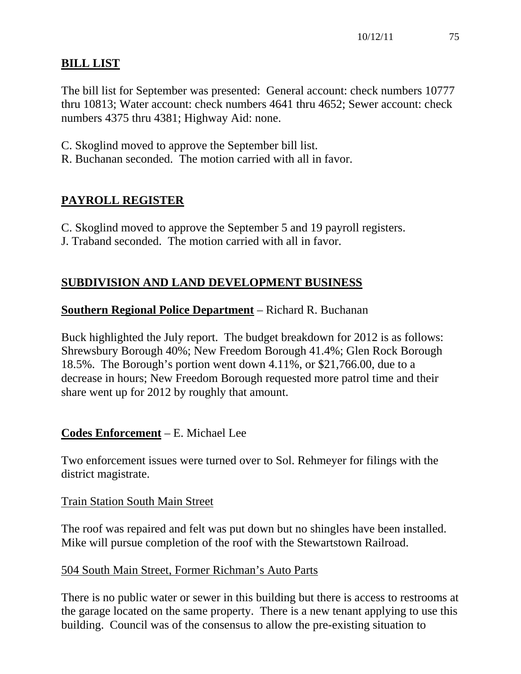# **BILL LIST**

The bill list for September was presented: General account: check numbers 10777 thru 10813; Water account: check numbers 4641 thru 4652; Sewer account: check numbers 4375 thru 4381; Highway Aid: none.

- C. Skoglind moved to approve the September bill list.
- R. Buchanan seconded. The motion carried with all in favor.

# **PAYROLL REGISTER**

C. Skoglind moved to approve the September 5 and 19 payroll registers.

J. Traband seconded. The motion carried with all in favor.

# **SUBDIVISION AND LAND DEVELOPMENT BUSINESS**

# **Southern Regional Police Department** – Richard R. Buchanan

Buck highlighted the July report. The budget breakdown for 2012 is as follows: Shrewsbury Borough 40%; New Freedom Borough 41.4%; Glen Rock Borough 18.5%. The Borough's portion went down 4.11%, or \$21,766.00, due to a decrease in hours; New Freedom Borough requested more patrol time and their share went up for 2012 by roughly that amount.

# **Codes Enforcement** – E. Michael Lee

Two enforcement issues were turned over to Sol. Rehmeyer for filings with the district magistrate.

# Train Station South Main Street

The roof was repaired and felt was put down but no shingles have been installed. Mike will pursue completion of the roof with the Stewartstown Railroad.

# 504 South Main Street, Former Richman's Auto Parts

There is no public water or sewer in this building but there is access to restrooms at the garage located on the same property. There is a new tenant applying to use this building. Council was of the consensus to allow the pre-existing situation to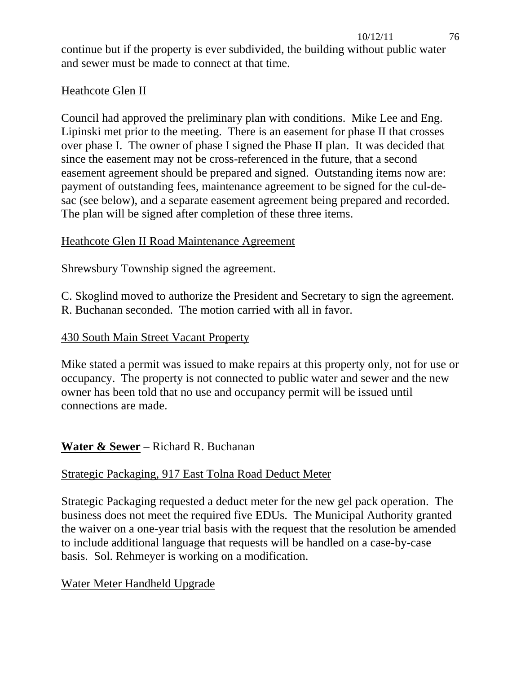continue but if the property is ever subdivided, the building without public water and sewer must be made to connect at that time.

# Heathcote Glen II

Council had approved the preliminary plan with conditions. Mike Lee and Eng. Lipinski met prior to the meeting. There is an easement for phase II that crosses over phase I. The owner of phase I signed the Phase II plan. It was decided that since the easement may not be cross-referenced in the future, that a second easement agreement should be prepared and signed. Outstanding items now are: payment of outstanding fees, maintenance agreement to be signed for the cul-desac (see below), and a separate easement agreement being prepared and recorded. The plan will be signed after completion of these three items.

# Heathcote Glen II Road Maintenance Agreement

Shrewsbury Township signed the agreement.

C. Skoglind moved to authorize the President and Secretary to sign the agreement. R. Buchanan seconded. The motion carried with all in favor.

# 430 South Main Street Vacant Property

Mike stated a permit was issued to make repairs at this property only, not for use or occupancy. The property is not connected to public water and sewer and the new owner has been told that no use and occupancy permit will be issued until connections are made.

# **Water & Sewer** – Richard R. Buchanan

# Strategic Packaging, 917 East Tolna Road Deduct Meter

Strategic Packaging requested a deduct meter for the new gel pack operation. The business does not meet the required five EDUs. The Municipal Authority granted the waiver on a one-year trial basis with the request that the resolution be amended to include additional language that requests will be handled on a case-by-case basis. Sol. Rehmeyer is working on a modification.

# Water Meter Handheld Upgrade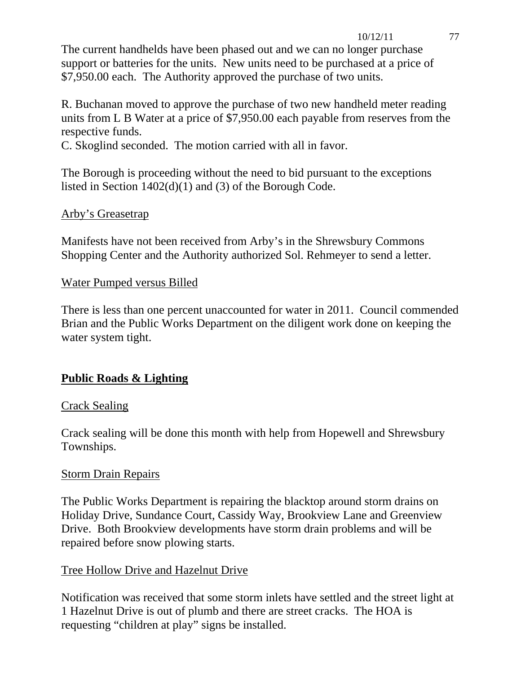#### 10/12/11 77

The current handhelds have been phased out and we can no longer purchase support or batteries for the units. New units need to be purchased at a price of \$7,950.00 each. The Authority approved the purchase of two units.

R. Buchanan moved to approve the purchase of two new handheld meter reading units from L B Water at a price of \$7,950.00 each payable from reserves from the respective funds.

C. Skoglind seconded. The motion carried with all in favor.

The Borough is proceeding without the need to bid pursuant to the exceptions listed in Section 1402(d)(1) and (3) of the Borough Code.

## Arby's Greasetrap

Manifests have not been received from Arby's in the Shrewsbury Commons Shopping Center and the Authority authorized Sol. Rehmeyer to send a letter.

### Water Pumped versus Billed

There is less than one percent unaccounted for water in 2011. Council commended Brian and the Public Works Department on the diligent work done on keeping the water system tight.

# **Public Roads & Lighting**

### Crack Sealing

Crack sealing will be done this month with help from Hopewell and Shrewsbury Townships.

### Storm Drain Repairs

The Public Works Department is repairing the blacktop around storm drains on Holiday Drive, Sundance Court, Cassidy Way, Brookview Lane and Greenview Drive. Both Brookview developments have storm drain problems and will be repaired before snow plowing starts.

### Tree Hollow Drive and Hazelnut Drive

Notification was received that some storm inlets have settled and the street light at 1 Hazelnut Drive is out of plumb and there are street cracks. The HOA is requesting "children at play" signs be installed.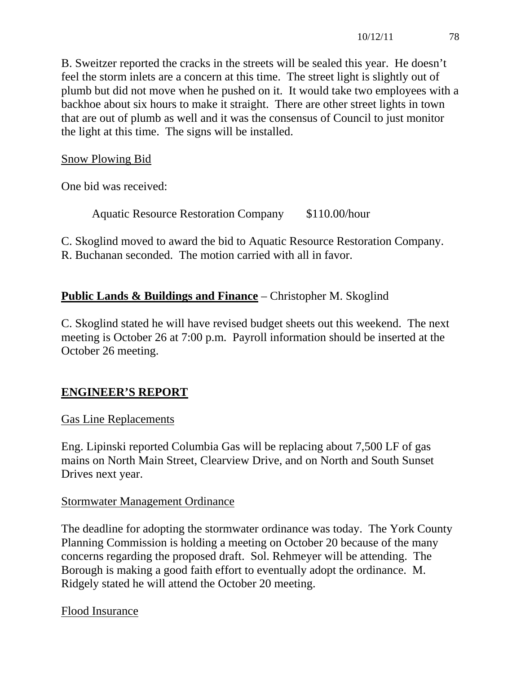B. Sweitzer reported the cracks in the streets will be sealed this year. He doesn't feel the storm inlets are a concern at this time. The street light is slightly out of plumb but did not move when he pushed on it. It would take two employees with a backhoe about six hours to make it straight. There are other street lights in town that are out of plumb as well and it was the consensus of Council to just monitor the light at this time. The signs will be installed.

Snow Plowing Bid

One bid was received:

Aquatic Resource Restoration Company \$110.00/hour

C. Skoglind moved to award the bid to Aquatic Resource Restoration Company. R. Buchanan seconded. The motion carried with all in favor.

## **Public Lands & Buildings and Finance** – Christopher M. Skoglind

C. Skoglind stated he will have revised budget sheets out this weekend. The next meeting is October 26 at 7:00 p.m. Payroll information should be inserted at the October 26 meeting.

### **ENGINEER'S REPORT**

#### Gas Line Replacements

Eng. Lipinski reported Columbia Gas will be replacing about 7,500 LF of gas mains on North Main Street, Clearview Drive, and on North and South Sunset Drives next year.

#### Stormwater Management Ordinance

The deadline for adopting the stormwater ordinance was today. The York County Planning Commission is holding a meeting on October 20 because of the many concerns regarding the proposed draft. Sol. Rehmeyer will be attending. The Borough is making a good faith effort to eventually adopt the ordinance. M. Ridgely stated he will attend the October 20 meeting.

Flood Insurance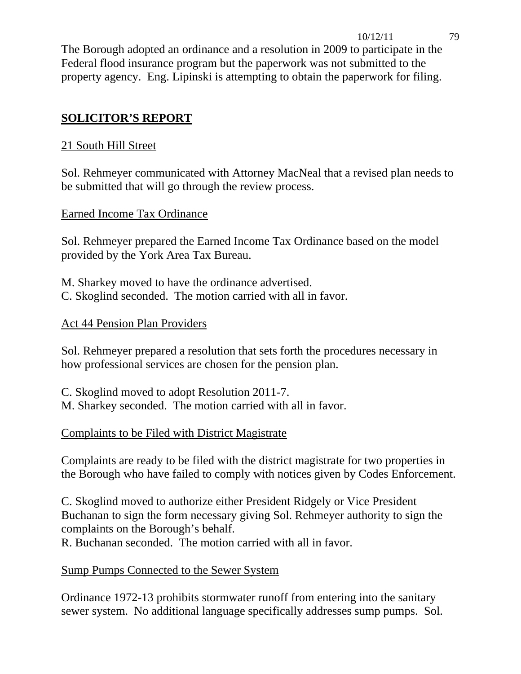The Borough adopted an ordinance and a resolution in 2009 to participate in the Federal flood insurance program but the paperwork was not submitted to the property agency. Eng. Lipinski is attempting to obtain the paperwork for filing.

# **SOLICITOR'S REPORT**

# 21 South Hill Street

Sol. Rehmeyer communicated with Attorney MacNeal that a revised plan needs to be submitted that will go through the review process.

# Earned Income Tax Ordinance

Sol. Rehmeyer prepared the Earned Income Tax Ordinance based on the model provided by the York Area Tax Bureau.

M. Sharkey moved to have the ordinance advertised. C. Skoglind seconded. The motion carried with all in favor.

# Act 44 Pension Plan Providers

Sol. Rehmeyer prepared a resolution that sets forth the procedures necessary in how professional services are chosen for the pension plan.

C. Skoglind moved to adopt Resolution 2011-7. M. Sharkey seconded. The motion carried with all in favor.

# Complaints to be Filed with District Magistrate

Complaints are ready to be filed with the district magistrate for two properties in the Borough who have failed to comply with notices given by Codes Enforcement.

C. Skoglind moved to authorize either President Ridgely or Vice President Buchanan to sign the form necessary giving Sol. Rehmeyer authority to sign the complaints on the Borough's behalf.

R. Buchanan seconded. The motion carried with all in favor.

# Sump Pumps Connected to the Sewer System

Ordinance 1972-13 prohibits stormwater runoff from entering into the sanitary sewer system. No additional language specifically addresses sump pumps. Sol.